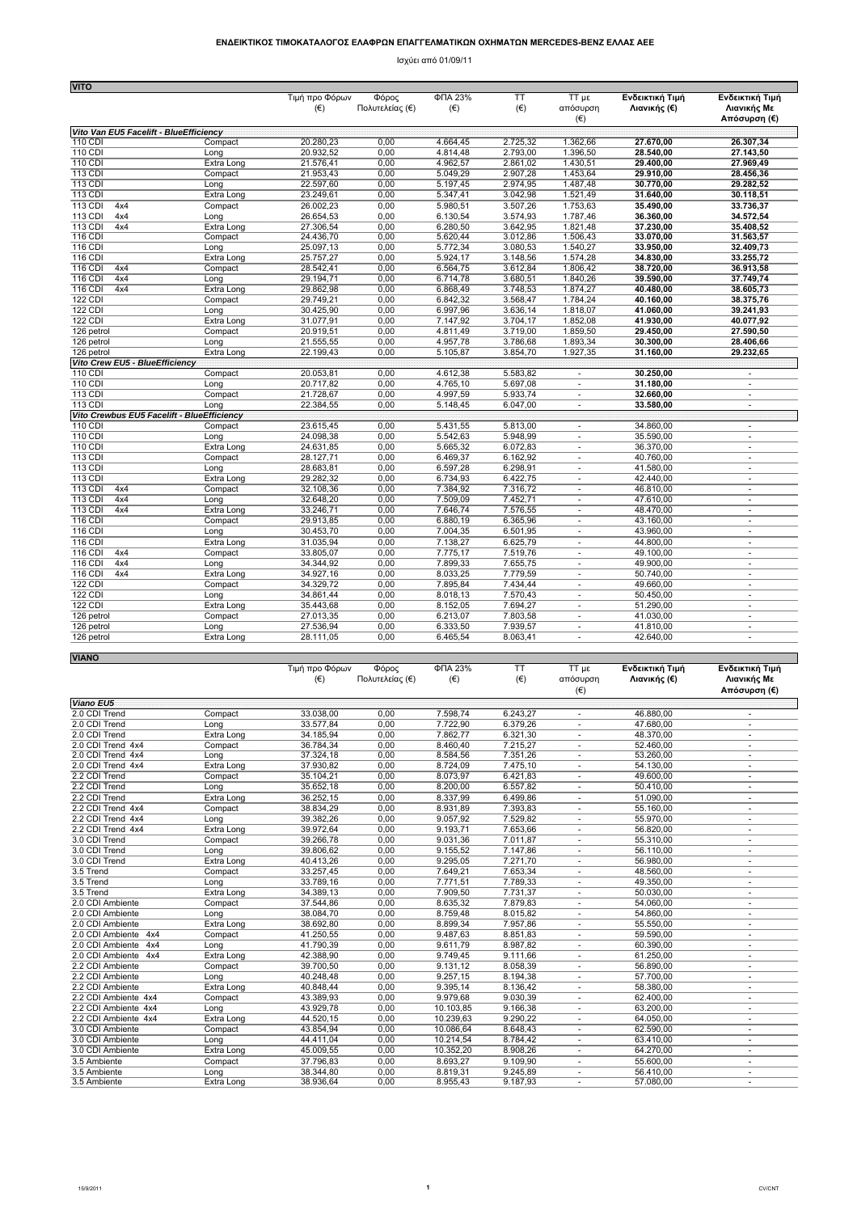## **ΕΝ∆ΕΙΚΤΙΚΟΣ ΤΙΜOΚΑΤΑΛΟΓΟΣ ΕΛΑΦΡΩΝ ΕΠΑΓΓΕΛΜΑΤΙΚΩΝ ΟΧΗΜΑΤΩΝ MERCEDES-BENZ ΕΛΛΑΣ ΑΕΕ**

Ισχύει από 01/09/11

|                                            |                    | Τιμή προ Φόρων         | Φόρος           | ФПА 23%              | TT                   | 3u TT                          | Ενδεικτική Τιμή        | Ενδεικτική Τιμή                                      |
|--------------------------------------------|--------------------|------------------------|-----------------|----------------------|----------------------|--------------------------------|------------------------|------------------------------------------------------|
|                                            |                    | $(\epsilon)$           | Πολυτελείας (€) | $(\epsilon)$         | $(\in)$              | απόσυρση                       | Λιανικής (€)           | Λιανικής Με                                          |
|                                            |                    |                        |                 |                      |                      | $(\in)$                        |                        | Απόσυρση (€)                                         |
| Vito Van EU5 Facelift - BlueEfficiency     |                    |                        |                 |                      |                      |                                |                        |                                                      |
| 110 CDI                                    | Compact            | 20.280,23              | 0,00            | 4.664,45             | 2.725,32             | 1.362,66                       | 27.670,00              | 26.307,34                                            |
| 110 CDI                                    | Long               | 20.932,52              | 0,00            | 4.814,48             | 2.793,00             | 1.396,50                       | 28.540.00              | 27.143,50                                            |
| 110 CDI                                    | Extra Long         | 21.576,41              | 0,00            | 4.962,57             | 2.861,02             | 1.430,51                       | 29.400,00              | 27.969,49                                            |
| 113 CDI                                    | Compact            | 21.953,43              | 0,00            | 5.049,29             | 2.907,28             | 1.453,64                       | 29.910,00              | 28.456,36                                            |
| 113 CDI                                    | Long               | 22.597,60              | 0,00            | 5.197,45             | 2.974,95             | 1.487,48                       | 30.770,00              | 29.282,52                                            |
| 113 CDI                                    | Extra Long         | 23.249,61              | 0,00            | 5.347,41             | 3.042,98             | 1.521,49                       | 31.640,00              | 30.118,51                                            |
| 113 CDI<br>4x4                             | Compact            | 26.002,23              | 0,00            | 5.980,51             | 3.507,26             | 1.753,63                       | 35.490,00              | 33.736,37                                            |
| 113 CDI<br>4x4                             | Long               | 26.654,53              | 0,00            | 6.130,54             | 3.574,93             | 1.787,46                       | 36.360,00              | 34.572,54                                            |
| 113 CDI<br>4x4                             | Extra Long         | 27.306,54              | 0,00            | 6.280,50             | 3.642,95             | 1.821,48                       | 37.230,00              | 35.408,52                                            |
| 116 CDI                                    | Compact            | 24.436,70              | 0,00            | 5.620,44             | 3.012,86             | 1.506,43                       | 33.070,00              | 31.563,57                                            |
| $116$ CDI                                  | Long               | 25.097,13              | 0,00            | 5.772,34             | 3.080,53             | 1.540,27                       | 33.950.00              | 32.409,73                                            |
| 116 CDI                                    | Extra Long         | 25.757,27              | 0,00            | 5.924,17             | 3.148,56             | 1.574,28                       | 34.830,00              | 33.255,72                                            |
| 116 CDI<br>4x4                             | Compact            | 28.542,41              | 0,00            | 6.564,75             | 3.612,84             | 1.806,42                       | 38.720,00              | 36.913,58                                            |
| 116 CDI<br>4x4                             | Long               | 29.194,71              | 0,00            | 6.714,78             | 3.680,51             | 1.840,26                       | 39.590,00              | 37.749,74                                            |
| $116$ CDI<br>4x4                           | Extra Long         | 29.862,98              | 0,00            | 6.868,49             | 3.748,53             | 1.874,27                       | 40.480.00              | 38.605,73                                            |
| 122 CDI                                    | Compact            | 29.749,21              | 0,00            | 6.842,32             | 3.568.47             | 1.784,24                       | 40.160.00              | 38.375,76                                            |
| 122 CDI                                    | Long               | 30.425,90              | 0,00            | 6.997,96             | 3.636,14             | 1.818,07                       | 41.060,00              | 39.241,93                                            |
| <b>122 CDI</b>                             | Extra Long         | 31.077,91              | 0,00            | 7.147,92             | 3.704,17             | 1.852,08                       | 41.930,00              | 40.077,92                                            |
| 126 petrol                                 | Compact            | 20.919,51              | 0,00            | 4.811,49             | 3.719,00             | 1.859,50                       | 29.450,00              | 27.590,50                                            |
| 126 petrol                                 | Long               | 21.555,55              | 0,00            | 4.957,78             | 3.786,68             | 1.893,34                       | 30.300,00              | 28.406,66                                            |
| 126 petrol                                 | Extra Long         | 22.199,43              | 0,00            | 5.105,87             | 3.854,70             | 1.927,35                       | 31.160,00              | 29.232,65                                            |
| Vito Crew EU5 - BlueEfficiency             |                    |                        |                 |                      |                      |                                |                        |                                                      |
| 110 CDI                                    | Compact            | 20.053,81              | 0,00            | 4.612,38             | 5.583,82             | ٠                              | 30.250,00              | $\overline{\phantom{a}}$                             |
| 110 CDI                                    | Long               | 20.717,82              | 0,00            | 4.765,10             | 5.697,08             | $\overline{\phantom{a}}$       | 31.180,00              | $\overline{\phantom{a}}$                             |
| $113$ CDI                                  | Compact            | 21.728,67              | 0,00            | 4.997,59             | 5.933,74             | $\sim$                         | 32.660,00              | $\overline{\phantom{a}}$                             |
| 113 CDI                                    | Long               | 22.384,55              | 0,00            | 5.148,45             | 6.047,00             | ä,                             | 33.580,00              | $\overline{\phantom{a}}$                             |
| Vito Crewbus EU5 Facelift - BlueEfficiency |                    |                        |                 |                      |                      |                                |                        |                                                      |
| 110 CDI                                    | Compact            | 23.615,45              | 0,00            | 5.431,55             | 5.813,00             | $\overline{\phantom{a}}$       | 34.860,00              | $\overline{\phantom{a}}$                             |
| 110 CDI                                    | Long               | 24.098,38              | 0,00            | 5.542,63             | 5.948,99             | $\overline{\phantom{a}}$       | 35.590,00              | $\bar{a}$                                            |
| 110 CDI<br>113 CDI                         | Extra Long         | 24.631,85              | 0,00<br>0,00    | 5.665,32<br>6.469,37 | 6.072,83<br>6.162,92 | $\overline{\phantom{a}}$       | 36.370.00<br>40.760,00 | $\overline{\phantom{a}}$                             |
| 113 CDI                                    | Compact            | 28.127,71              |                 |                      | 6.298,91             | $\sim$                         |                        | $\overline{\phantom{a}}$                             |
| 113 CDI                                    | Long<br>Extra Long | 28.683,81<br>29.282,32 | 0,00<br>0,00    | 6.597,28<br>6.734,93 | 6.422,75             | $\overline{\phantom{a}}$<br>ä, | 41.580,00<br>42.440,00 | $\overline{\phantom{a}}$<br>$\overline{\phantom{a}}$ |
| 113 CDI<br>4x4                             | Compact            | 32.108,36              | 0,00            | 7.384,92             | 7.316,72             | $\mathbf{r}$                   | 46.810,00              | ×.                                                   |
| 113 CDI<br>4x4                             | Long               | 32.648,20              | 0,00            | 7.509,09             | 7.452,71             | $\overline{\phantom{a}}$       | 47.610,00              | $\overline{\phantom{a}}$                             |
| 113 CDI<br>4x4                             | Extra Long         | 33.246,71              | 0,00            | 7.646,74             | 7.576,55             | ×.                             | 48.470,00              | ÷                                                    |
| 116 CDI                                    | Compact            | 29.913,85              | 0,00            | 6.880,19             | 6.365,96             | ä,                             | 43.160,00              | ×,                                                   |
| 116 CDI                                    | Long               | 30.453,70              | 0,00            | 7.004,35             | 6.501,95             | $\overline{\phantom{a}}$       | 43.960,00              | $\overline{\phantom{a}}$                             |
| 116 CDI                                    | Extra Long         | 31.035,94              | 0,00            | 7.138,27             | 6.625,79             | $\sim$                         | 44.800,00              | $\overline{\phantom{a}}$                             |
| 116 CDI<br>4x4                             | Compact            | 33.805,07              | 0,00            | 7.775,17             | 7.519,76             | ä,                             | 49.100.00              | ÷,                                                   |
| 116 CDI<br>4x4                             | Long               | 34.344,92              | 0,00            | 7.899,33             | 7.655,75             | ×                              | 49.900,00              | ÷                                                    |
| 116 CDI<br>4x4                             | Extra Long         | 34.927,16              | 0,00            | 8.033,25             | 7.779,59             | ä,                             | 50.740,00              | $\overline{\phantom{a}}$                             |
| <b>122 CDI</b>                             | Compact            | 34.329,72              | 0,00            | 7.895,84             | 7.434,44             | $\overline{\phantom{a}}$       | 49.660,00              | $\overline{\phantom{a}}$                             |
| <b>122 CDI</b>                             | Long               | 34.861,44              | 0,00            | 8.018,13             | 7.570,43             | ٠                              | 50.450,00              | $\sim$                                               |
| 122 CDI                                    | Extra Long         | 35.443,68              | 0,00            | 8.152,05             | 7.694,27             | $\sim$                         | 51.290,00              | $\sim$                                               |
| 126 petrol                                 | Compact            | 27.013,35              | 0,00            | 6.213,07             | 7.803,58             | $\mathbf{r}$                   | 41.030,00              | $\sim$                                               |
| 126 petrol                                 | Long               | 27.536,94              | 0,00            | 6.333,50             | 7.939,57             | ٠                              | 41.810,00              | $\overline{\phantom{a}}$                             |
| 126 petrol                                 | Extra Long         | 28.111,05              | 0,00            | 6.465,54             | 8.063,41             | ÷.                             | 42.640,00              | $\sim$                                               |
|                                            |                    |                        |                 |                      |                      |                                |                        |                                                      |
| <b>VIANO</b>                               |                    |                        |                 |                      |                      |                                |                        |                                                      |

|                      |                   | Τιμή προ Φόρων | Φόρος           | ФПА 23%   | TT       | TT με                    | Ενδεικτική Τιμή | Ενδεικτική Τιμή          |
|----------------------|-------------------|----------------|-----------------|-----------|----------|--------------------------|-----------------|--------------------------|
|                      |                   | $(\epsilon)$   | Πολυτελείας (€) | $(\in)$   | $(\in)$  | απόσυρση                 | Λιανικής (€)    | Λιανικής Με              |
|                      |                   |                |                 |           |          | $(\epsilon)$             |                 | Απόσυρση (€)             |
| <b>Viano EU5</b>     |                   |                |                 |           |          |                          |                 |                          |
| 2.0 CDI Trend        | Compact           | 33.038,00      | 0,00            | 7.598,74  | 6.243,27 | $\overline{\phantom{a}}$ | 46.880,00       | $\overline{\phantom{a}}$ |
| 2.0 CDI Trend        | Long              | 33.577,84      | 0,00            | 7.722,90  | 6.379,26 | $\sim$                   | 47.680,00       | ٠                        |
| 2.0 CDI Trend        | <b>Extra Long</b> | 34.185,94      | 0,00            | 7.862,77  | 6.321,30 | ٠                        | 48.370.00       | ٠                        |
| 2.0 CDI Trend 4x4    | Compact           | 36.784,34      | 0,00            | 8.460,40  | 7.215,27 | ٠                        | 52.460,00       | ٠                        |
| 2.0 CDI Trend 4x4    | Long              | 37.324,18      | 0,00            | 8.584,56  | 7.351,26 | ٠                        | 53.260,00       | $\sim$                   |
| 2.0 CDI Trend 4x4    | Extra Long        | 37.930,82      | 0,00            | 8.724,09  | 7.475,10 |                          | 54.130,00       | ٠                        |
| 2.2 CDI Trend        | Compact           | 35.104,21      | 0,00            | 8.073,97  | 6.421,83 | $\blacksquare$           | 49.600,00       | ٠                        |
| 2.2 CDI Trend        | Long              | 35.652.18      | 0,00            | 8.200.00  | 6.557,82 | $\overline{\phantom{a}}$ | 50.410.00       | ٠                        |
| 2.2 CDI Trend        | Extra Long        | 36.252,15      | 0,00            | 8.337,99  | 6.499,86 | $\overline{\phantom{a}}$ | 51.090,00       | ٠                        |
| 2.2 CDI Trend 4x4    | Compact           | 38.834,29      | 0,00            | 8.931,89  | 7.393,83 | ٠                        | 55.160,00       | ÷,                       |
| 2.2 CDI Trend 4x4    | Long              | 39.382,26      | 0,00            | 9.057,92  | 7.529,82 | ٠                        | 55.970,00       | ٠                        |
| 2.2 CDI Trend 4x4    | Extra Long        | 39.972.64      | 0.00            | 9.193,71  | 7.653.66 | ٠                        | 56.820.00       | ٠                        |
| 3.0 CDI Trend        | Compact           | 39.266,78      | 0,00            | 9.031,36  | 7.011.87 |                          | 55.310,00       | ٠                        |
| 3.0 CDI Trend        | Long              | 39.806,62      | 0,00            | 9.155,52  | 7.147,86 | ×.                       | 56.110,00       | ÷.                       |
| 3.0 CDI Trend        | Extra Long        | 40.413.26      | 0,00            | 9.295.05  | 7.271.70 | $\sim$                   | 56.980,00       | ٠                        |
| 3.5 Trend            | Compact           | 33.257,45      | 0,00            | 7.649,21  | 7.653,34 | $\sim$                   | 48.560,00       | ٠                        |
| 3.5 Trend            | Long              | 33.789,16      | 0,00            | 7.771,51  | 7.789,33 | ٠                        | 49.350,00       | ٠                        |
| 3.5 Trend            | Extra Long        | 34.389,13      | 0,00            | 7.909,50  | 7.731,37 | $\sim$                   | 50.030,00       | ٠                        |
| 2.0 CDI Ambiente     | Compact           | 37.544.86      | 0.00            | 8.635.32  | 7.879.83 | ٠                        | 54.060.00       | ٠                        |
| 2.0 CDI Ambiente     | Long              | 38.084,70      | 0,00            | 8.759,48  | 8.015,82 |                          | 54.860,00       | ٠                        |
| 2.0 CDI Ambiente     | Extra Long        | 38.692,80      | 0,00            | 8.899,34  | 7.957,86 | ÷.                       | 55.550,00       | ÷.                       |
| 2.0 CDI Ambiente 4x4 | Compact           | 41.250,55      | 0,00            | 9.487,63  | 8.851,83 | $\overline{\phantom{a}}$ | 59.590,00       | ٠                        |
| 2.0 CDI Ambiente 4x4 | Long              | 41.790.39      | 0.00            | 9.611.79  | 8.987.82 | $\sim$                   | 60.390.00       | $\overline{\phantom{a}}$ |
| 2.0 CDI Ambiente 4x4 | Extra Long        | 42.388,90      | 0,00            | 9.749,45  | 9.111,66 | $\overline{\phantom{m}}$ | 61.250,00       | ٠                        |
| 2.2 CDI Ambiente     | Compact           | 39.700,50      | 0,00            | 9.131, 12 | 8.058,39 | $\mathbf{r}$             | 56.890,00       | $\sim$                   |
| 2.2 CDI Ambiente     | Long              | 40.248,48      | 0,00            | 9.257, 15 | 8.194,38 | ٠                        | 57.700,00       | ÷,                       |
| 2.2 CDI Ambiente     | Extra Long        | 40.848,44      | 0,00            | 9.395,14  | 8.136,42 | $\overline{\phantom{a}}$ | 58.380,00       | ٠                        |
| 2.2 CDI Ambiente 4x4 | Compact           | 43.389,93      | 0,00            | 9.979,68  | 9.030,39 | ÷.                       | 62.400,00       |                          |
| 2.2 CDI Ambiente 4x4 | Long              | 43.929,78      | 0,00            | 10.103,85 | 9.166,38 | $\overline{\phantom{a}}$ | 63.200,00       | ٠                        |
| 2.2 CDI Ambiente 4x4 | Extra Long        | 44.520,15      | 0,00            | 10.239,63 | 9.290,22 | $\overline{\phantom{a}}$ | 64.050,00       | ٠                        |
| 3.0 CDI Ambiente     | Compact           | 43.854,94      | 0,00            | 10.086,64 | 8.648,43 | $\overline{\phantom{a}}$ | 62.590,00       | $\overline{\phantom{a}}$ |
| 3.0 CDI Ambiente     | Long              | 44.411,04      | 0,00            | 10.214,54 | 8.784,42 | ٠                        | 63.410,00       | ٠                        |
| 3.0 CDI Ambiente     | Extra Long        | 45.009,55      | 0,00            | 10.352,20 | 8.908,26 | ٠                        | 64.270,00       | ٠                        |
| 3.5 Ambiente         | Compact           | 37.796,83      | 0,00            | 8.693,27  | 9.109,90 | ٠                        | 55.600,00       | ٠                        |
| 3.5 Ambiente         | Long              | 38.344,80      | 0,00            | 8.819,31  | 9.245,89 |                          | 56.410,00       |                          |
| 3.5 Ambiente         | Extra Long        | 38.936,64      | 0,00            | 8.955,43  | 9.187,93 | $\overline{\phantom{a}}$ | 57.080,00       | ٠                        |
|                      |                   |                |                 |           |          |                          |                 |                          |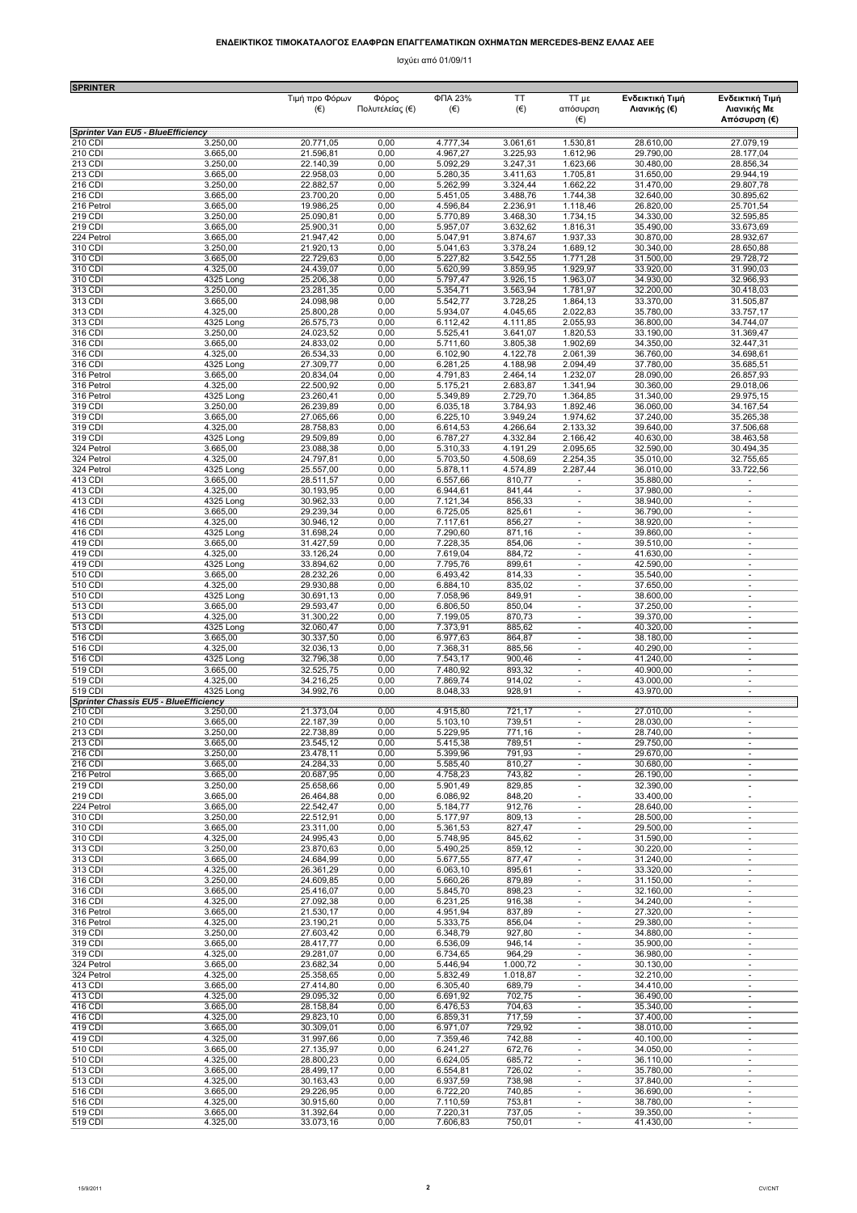## **ΕΝ∆ΕΙΚΤΙΚΟΣ ΤΙΜOΚΑΤΑΛΟΓΟΣ ΕΛΑΦΡΩΝ ΕΠΑΓΓΕΛΜΑΤΙΚΩΝ ΟΧΗΜΑΤΩΝ MERCEDES-BENZ ΕΛΛΑΣ ΑΕΕ**

Ισχύει από 01/09/11

| <b>SPRINTER</b>                                         |                       | Τιμή προ Φόρων         | Φόρος           | ФПА 23%                | TT               | TT με                              | Ενδεικτική Τιμή        | Ενδεικτική Τιμή                |
|---------------------------------------------------------|-----------------------|------------------------|-----------------|------------------------|------------------|------------------------------------|------------------------|--------------------------------|
|                                                         |                       | (€)                    | Πολυτελείας (€) | $(\epsilon)$           | $(\epsilon)$     | απόσυρση<br>$(\in)$                | Λιανικής (€)           | Λιανικής Με<br>Απόσυρση (€)    |
| Sprinter Van EU5 - BlueEfficiency<br>210 CDI            | 3.250,00              | 20.771,05              | 0,00            | 4.777,34               | 3.061,61         | 1.530,81                           | 28.610,00              | 27.079,19                      |
| 210 CDI                                                 | 3.665,00              | 21.596,81              | 0,00            | 4.967,27               | 3.225,93         | 1.612,96                           | 29.790,00              | 28.177,04                      |
| 213 CDI                                                 | 3.250,00              | 22.140,39              | 0,00            | 5.092,29               | 3.247,31         | 1.623,66                           | 30.480,00              | 28.856,34                      |
| 213 CDI                                                 | 3.665,00              | 22.958,03              | 0,00            | 5.280,35               | 3.411,63         | 1.705,81                           | 31.650,00              | 29.944,19                      |
| 216 CDI                                                 | 3.250,00              | 22.882,57              | 0,00            | 5.262,99               | 3.324,44         | 1.662,22                           | 31.470,00              | 29.807.78                      |
| 216 CDI                                                 | 3.665,00              | 23.700,20              | 0,00            | 5.451,05               | 3.488,76         | 1.744,38                           | 32.640,00              | 30.895,62                      |
| 216 Petrol                                              | 3.665,00              | 19.986,25              | 0,00            | 4.596,84               | 2.236,91         | 1.118,46                           | 26.820,00              | 25.701,54                      |
| 219 CDI                                                 | 3.250,00              | 25.090,81              | 0,00            | 5.770,89               | 3.468,30         | 1.734,15                           | 34.330,00              | 32.595,85                      |
| 219 CDI                                                 | 3.665,00              | 25.900,31              | 0,00            | 5.957,07               | 3.632,62         | 1.816,31                           | 35.490,00              | 33.673,69                      |
| 224 Petrol                                              | 3.665,00              | 21.947,42              | 0,00            | 5.047,91               | 3.874,67         | 1.937,33                           | 30.870,00              | 28.932,67                      |
| 310 CDI                                                 | 3.250,00              | 21.920,13              | 0,00            | 5.041,63               | 3.378,24         | 1.689,12                           | 30.340,00              | 28.650,88                      |
| 310 CDI                                                 | 3.665,00              | 22.729,63              | 0,00            | 5.227,82               | 3.542,55         | 1.771,28                           | 31.500,00              | 29.728,72                      |
| 310 CDI                                                 | 4.325,00              | 24.439,07              | 0,00            | 5.620,99               | 3.859,95         | 1.929,97                           | 33.920,00              | 31.990,03                      |
| 310 CDI                                                 | 4325 Long             | 25.206,38              | 0,00            | 5.797,47               | 3.926,15         | 1.963,07                           | 34.930,00              | 32.966,93                      |
| 313 CDI                                                 | 3.250,00              | 23.281,35              | 0,00            | 5.354,71               | 3.563,94         | 1.781,97                           | 32.200,00              | 30.418,03                      |
| 313 CDI                                                 | 3.665,00              | 24.098,98              | 0,00            | 5.542,77               | 3.728,25         | 1.864,13                           | 33.370,00              | 31.505,87                      |
| 313 CDI                                                 | 4.325,00              | 25.800,28              | 0,00            | 5.934,07               | 4.045,65         | 2.022,83                           | 35.780,00              | 33.757,17                      |
| 313 CDI                                                 | 4325 Long             | 26.575,73              | 0,00            | 6.112,42               | 4.111,85         | 2.055,93                           | 36.800,00              | 34.744,07                      |
| 316 CDI                                                 | 3.250,00              | 24.023,52              | 0,00            | 5.525,41               | 3.641,07         | 1.820,53                           | 33.190,00              | 31.369,47                      |
| 316 CDI                                                 | 3.665,00              | 24.833,02              | 0,00            | 5.711,60               | 3.805,38         | 1.902,69                           | 34.350,00              | 32.447,31                      |
| 316 CDI                                                 | 4.325,00              | 26.534,33              | 0,00            | 6.102,90               | 4.122,78         | 2.061,39                           | 36.760,00              | 34.698,61                      |
| 316 CDI                                                 | 4325 Long             | 27.309,77              | 0,00            | 6.281,25               | 4.188,98         | 2.094,49                           | 37.780,00              | 35.685,51                      |
| 316 Petrol                                              | 3.665,00              | 20.834,04              | 0,00            | 4.791,83               | 2.464,14         | 1.232,07                           | 28.090,00              | 26.857,93                      |
| 316 Petrol                                              | 4.325,00              | 22.500,92              | 0,00            | 5.175,21               | 2.683,87         | 1.341,94                           | 30.360,00              | 29.018,06                      |
| 316 Petrol                                              | 4325 Long             | 23.260,41              | 0,00            | 5.349,89               | 2.729,70         | 1.364,85                           | 31.340,00              | 29.975,15                      |
| 319 CDI                                                 | 3.250,00              | 26.239,89              | 0,00            | 6.035,18               | 3.784,93         | 1.892,46                           | 36.060,00              | 34.167,54                      |
| 319 CDI                                                 | 3.665,00              | 27.065,66              | 0,00            | 6.225, 10              | 3.949,24         | 1.974,62                           | 37.240,00              | 35.265,38                      |
| 319 CDI                                                 | 4.325,00              | 28.758,83              | 0,00            | 6.614,53               | 4.266,64         | 2.133,32                           | 39.640,00              | 37.506,68                      |
| 319 CDI                                                 | 4325 Long             | 29.509,89              | 0,00            | 6.787,27               | 4.332,84         | 2.166,42                           | 40.630,00              | 38.463,58                      |
| 324 Petrol                                              | 3.665,00              | 23.088,38              | 0,00            | 5.310,33               | 4.191,29         | 2.095,65                           | 32.590,00              | 30.494,35                      |
| 324 Petrol                                              | 4.325,00              | 24.797,81              | 0,00            | 5.703,50               | 4.508,69         | 2.254,35                           | 35.010,00              | 32.755,65                      |
| 324 Petrol                                              | 4325 Long             | 25.557,00              | 0,00            | 5.878,11               | 4.574,89         | 2.287,44                           | 36.010,00              | 33.722,56                      |
| 413 CDI                                                 | 3.665,00              | 28.511,57              | 0,00            | 6.557,66               | 810,77           | $\overline{\phantom{a}}$<br>÷.     | 35.880,00              | $\overline{\phantom{a}}$<br>×. |
| 413 CDI<br>413 CDI                                      | 4.325,00<br>4325 Long | 30.193,95<br>30.962,33 | 0,00<br>0,00    | 6.944,61<br>7.121,34   | 841,44<br>856,33 | $\mathbf{r}$                       | 37.980,00<br>38.940,00 | $\sim$                         |
| 416 CDI                                                 | 3.665,00              | 29.239,34              | 0,00            | 6.725,05               | 825,61           | ×,                                 | 36.790,00              | ÷,                             |
| 416 CDI                                                 | 4.325,00              | 30.946,12              | 0,00            | 7.117,61               | 856,27           | $\overline{\phantom{m}}$           | 38.920,00              | ×                              |
| 416 CDI                                                 | 4325 Long             | 31.698,24              | 0,00            | 7.290,60               | 871,16           | ×,                                 | 39.860,00              | ÷,                             |
| 419 CDI                                                 | 3.665,00              | 31.427,59              | 0,00            | 7.228,35               | 854,06           | $\overline{\phantom{a}}$           | 39.510,00              | $\overline{\phantom{a}}$       |
| 419 CDI                                                 | 4.325,00              | 33.126,24              | 0,00            | 7.619,04               | 884,72           | $\overline{\phantom{a}}$           | 41.630,00              | $\overline{\phantom{a}}$       |
| 419 CDI                                                 | 4325 Long             | 33.894,62              | 0,00            | 7.795,76               | 899,61           | ä,                                 | 42.590,00              | ×                              |
| 510 CDI                                                 | 3.665,00              | 28.232,26              | 0,00            | 6.493,42               | 814,33           | $\overline{\phantom{a}}$           | 35.540,00              | $\sim$                         |
| 510 CDI                                                 | 4.325,00              | 29.930,88              | 0,00            | 6.884,10               | 835,02           | ä,                                 | 37.650,00              | ä,                             |
| 510 CDI                                                 | 4325 Long             | 30.691,13              | 0,00            | 7.058,96               | 849,91           | $\sim$                             | 38.600,00              | ٠                              |
| 513 CDI                                                 | 3.665,00              | 29.593,47              | 0,00            | 6.806,50               | 850,04           | ÷.                                 | 37.250,00              | ×,                             |
| 513 CDI                                                 | 4.325,00              | 31.300,22              | 0,00            | 7.199,05               | 870,73           | $\sim$<br>×,                       | 39.370,00              | ÷,<br>÷,                       |
| 513 CDI<br>516 CDI                                      | 4325 Long<br>3.665,00 | 32.060,47<br>30.337,50 | 0,00<br>0,00    | 7.373,91<br>6.977,63   | 885,62<br>864,87 | $\overline{\phantom{a}}$           | 40.320,00<br>38.180,00 | $\overline{\phantom{a}}$       |
| 516 CDI                                                 | 4.325,00              | 32.036,13              | 0,00            | 7.368,31               | 885,56           | $\overline{\phantom{a}}$           | 40.290,00              | $\sim$                         |
| 516 CDI                                                 | 4325 Long             | 32.796,38              | 0,00            | 7.543,17               | 900,46           | $\sim$                             | 41.240,00              | $\sim$                         |
| 519 CDI                                                 | 3.665,00              | 32.525,75              | 0,00            | 7.480,92               | 893,32           | $\overline{\phantom{a}}$<br>$\sim$ | 40.900,00              | $\sim$<br>÷,                   |
| 519 CDI<br>519 CDI                                      | 4.325,00<br>4325 Long | 34.216,25<br>34.992,76 | 0,00<br>0,00    | 7.869,74<br>8.048,33   | 914,02<br>928,91 | $\overline{\phantom{a}}$           | 43.000,00<br>43.970,00 | $\sim$                         |
| <b>Sprinter Chassis EU5 - BlueEfficiency</b><br>210 CDI | 3.250,00              | 21.373,04              | 0,00            | 4.915.80               | 721,17           |                                    | 27.010.00              | $\overline{\phantom{a}}$       |
| 210 CDI<br>213 CDI                                      | 3.665,00<br>3.250,00  | 22.187,39<br>22.738,89 | 0,00<br>0,00    | $\overline{5.103, 10}$ | 739,51           | $\sim$                             | 28.030.00<br>28.740,00 | $\sim$                         |
| 213 CDI                                                 | 3.665,00              | 23.545,12              | 0,00            | 5.229,95<br>5.415,38   | 771,16<br>789,51 | $\overline{\phantom{a}}$           | 29.750,00              | $\sim$                         |
| 216 CDI                                                 | 3.250,00              | 23.478,11              | 0,00            | 5.399,96               | 791,93           | $\sim$                             | 29.670,00              | ÷                              |
| 216 CDI                                                 | 3.665,00              | 24.284,33              | 0,00            | 5.585,40               | 810,27           | $\overline{\phantom{a}}$           | 30.680,00              | $\sim$                         |
| 216 Petrol                                              | 3.665,00              | 20.687,95              | 0,00            | 4.758,23               | 743,82           | $\overline{\phantom{a}}$           | 26.190,00              | $\overline{\phantom{a}}$       |
| 219 CDI                                                 | 3.250,00              | 25.658,66              | 0,00            | 5.901,49               | 829,85           | $\overline{\phantom{a}}$           | 32.390,00              | $\overline{\phantom{a}}$       |
| 219 CDI                                                 | 3.665,00              | 26.464,88              | 0,00            | 6.086,92               | 848,20           | $\overline{\phantom{a}}$           | 33.400,00              | $\overline{\phantom{a}}$       |
| 224 Petrol                                              | 3.665,00              | 22.542,47              | 0,00            | 5.184,77               | 912,76           | $\overline{\phantom{a}}$           | 28.640,00              | $\overline{\phantom{a}}$       |
| 310 CDI                                                 | 3.250,00              | 22.512,91              | 0,00            | 5.177,97               | 809,13           | $\overline{\phantom{a}}$           | 28.500,00              | $\sim$                         |
| 310 CDI                                                 | 3.665,00              | 23.311,00              | 0,00            | 5.361,53               | 827,47           | $\overline{\phantom{a}}$           | 29.500,00              | $\overline{\phantom{a}}$       |
| 310 CDI                                                 | 4.325,00              | 24.995,43              | 0,00            | 5.748,95               | 845,62           | $\overline{\phantom{a}}$           | 31.590,00              | $\overline{\phantom{a}}$       |
| 313 CDI                                                 | 3.250,00              | 23.870,63              | 0,00            | 5.490,25               | 859,12           | ×.                                 | 30.220,00              | ×.                             |
| 313 CDI                                                 | 3.665,00              | 24.684,99              | 0,00            | 5.677,55               | 877,47           | $\sim$                             | 31.240,00              | $\sim$                         |
| 313 CDI                                                 | 4.325,00              | 26.361,29              | 0,00            | 6.063,10               | 895,61           | ×,                                 | 33.320,00              | ×.                             |
| 316 CDI                                                 | 3.250,00              | 24.609,85              | 0,00            | 5.660,26               | 879,89           | $\overline{\phantom{a}}$           | 31.150,00              | $\overline{\phantom{a}}$       |
| 316 CDI                                                 | 3.665,00              | 25.416,07              | 0,00            | 5.845,70               | 898,23           | $\overline{\phantom{a}}$           | 32.160,00              | $\sim$                         |
| 316 CDI                                                 | 4.325,00              | 27.092,38              | 0,00            | 6.231,25               | 916,38           | $\overline{\phantom{a}}$           | 34.240,00              | $\overline{\phantom{a}}$       |
| 316 Petrol                                              | 3.665,00              | 21.530,17              | 0,00            | 4.951,94               | 837,89           | $\overline{\phantom{a}}$           | 27.320,00              | $\overline{\phantom{a}}$       |
| 316 Petrol                                              | 4.325,00              | 23.190,21              | 0,00            | 5.333,75               | 856,04           | $\overline{\phantom{a}}$           | 29.380,00              | $\overline{\phantom{a}}$       |
| 319 CDI                                                 | 3.250,00              | 27.603,42              | 0,00            | 6.348,79               | 927,80           | $\overline{\phantom{a}}$           | 34.880,00              | $\overline{\phantom{a}}$       |
| 319 CDI                                                 | 3.665,00              | 28.417,77              | 0,00            | 6.536,09               | 946,14           | ×,                                 | 35.900,00              | ×.                             |
| 319 CDI                                                 | 4.325,00              | 29.281,07              | 0,00            | 6.734,65               | 964,29           | $\overline{\phantom{a}}$           | 36.980,00              | $\overline{\phantom{a}}$       |
| 324 Petrol<br>324 Petrol                                | 3.665,00              | 23.682,34              | 0,00            | 5.446,94               | 1.000,72         | ×.                                 | 30.130,00              | ÷                              |
| 413 CDI                                                 | 4.325,00              | 25.358,65              | 0,00            | 5.832,49               | 1.018,87         | $\overline{\phantom{a}}$           | 32.210,00              | $\overline{\phantom{a}}$       |
|                                                         | 3.665,00              | 27.414,80              | 0,00            | 6.305,40               | 689,79           | $\overline{\phantom{a}}$           | 34.410,00              | $\sim$                         |
| 413 CDI                                                 | 4.325,00              | 29.095,32              | 0,00            | 6.691,92               | 702,75           | $\overline{\phantom{a}}$           | 36.490,00              | $\overline{\phantom{a}}$       |
| 416 CDI                                                 | 3.665,00              | 28.158,84              | 0,00            | 6.476,53               | 704,63           | $\overline{\phantom{a}}$           | 35.340,00              | $\sim$                         |
| 416 CDI                                                 | 4.325,00              | 29.823,10              | 0,00            | 6.859,31               | 717,59           | ä,                                 | 37.400,00              | $\overline{\phantom{a}}$       |
| 419 CDI                                                 | 3.665,00              | 30.309,01              | 0,00            | 6.971,07               | 729,92           | $\sim$                             | 38.010,00              | $\sim$                         |
| 419 CDI                                                 | 4.325,00              | 31.997,66              | 0,00            | 7.359,46               | 742,88           | ×.                                 | 40.100,00              | ×.                             |
| 510 CDI                                                 | 3.665,00              | 27.135,97              | 0,00            | 6.241,27               | 672,76           | $\overline{\phantom{a}}$           | 34.050,00              | $\sim$                         |
| 510 CDI                                                 | 4.325,00              | 28.800,23              | 0,00            | 6.624,05               | 685,72           | ×,                                 | 36.110,00              | ×.                             |
| 513 CDI                                                 | 3.665,00              | 28.499,17              | 0,00            | 6.554,81               | 726,02           | $\blacksquare$                     | 35.780,00              | $\overline{\phantom{a}}$       |
| 513 CDI                                                 | 4.325,00              | 30.163,43              | 0,00            | 6.937,59               | 738,98           | $\overline{\phantom{a}}$           | 37.840,00              | $\sim$                         |
| 516 CDI                                                 | 3.665,00              | 29.226,95              | 0,00            | 6.722,20               | 740,85           | $\overline{\phantom{a}}$           | 36.690,00              | $\overline{\phantom{a}}$       |
| 516 CDI                                                 | 4.325,00              | 30.915,60              | 0,00            | 7.110,59               | 753,81           | $\sim$                             | 38.780,00              | $\sim$                         |
| 519 CDI                                                 | 3.665,00              | 31.392,64              | 0,00            | 7.220,31               | 737,05           | $\sim$                             | 39.350,00              | ×,                             |
| 519 CDI                                                 | 4.325,00              | 33.073,16              | 0,00            | 7.606,83               | 750,01           | ä,                                 | 41.430,00              | ÷,                             |